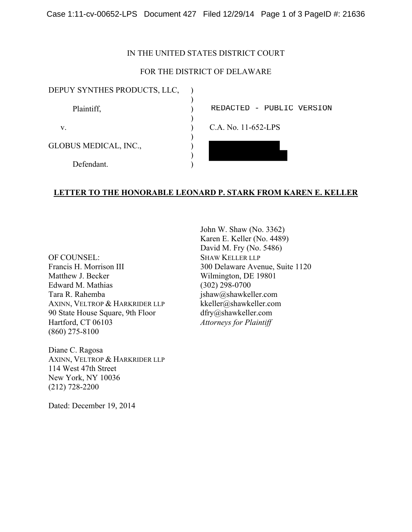### IN THE UNITED STATES DISTRICT COURT

## FOR THE DISTRICT OF DELAWARE

| DEPUY SYNTHES PRODUCTS, LLC, |                           |  |
|------------------------------|---------------------------|--|
| Plaintiff,                   | REDACTED - PUBLIC VERSION |  |
| V.                           | C.A. No. 11-652-LPS       |  |
| GLOBUS MEDICAL, INC.,        |                           |  |
| Defendant                    |                           |  |

# **LETTER TO THE HONORABLE LEONARD P. STARK FROM KAREN E. KELLER**

OF COUNSEL: Francis H. Morrison III Matthew J. Becker Edward M. Mathias Tara R. Rahemba AXINN, VELTROP & HARKRIDER LLP 90 State House Square, 9th Floor Hartford, CT 06103 (860) 275-8100

Diane C. Ragosa AXINN, VELTROP & HARKRIDER LLP 114 West 47th Street New York, NY 10036 (212) 728-2200

Dated: December 19, 2014

John W. Shaw (No. 3362) Karen E. Keller (No. 4489) David M. Fry (No. 5486) SHAW KELLER LLP 300 Delaware Avenue, Suite 1120 Wilmington, DE 19801 (302) 298-0700 jshaw@shawkeller.com kkeller@shawkeller.com dfry@shawkeller.com *Attorneys for Plaintiff*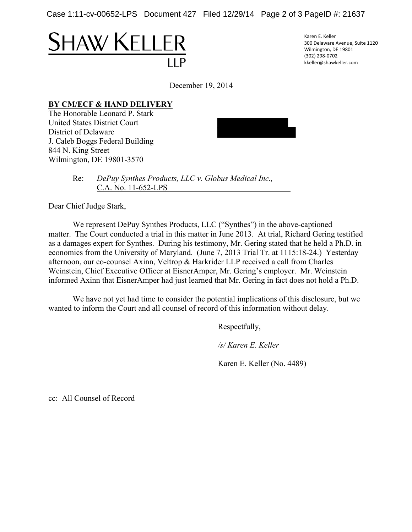Case 1:11-cv-00652-LPS Document 427 Filed 12/29/14 Page 2 of 3 PageID #: 21637

# **SHAW KELLER**

Karen E. Keller 300 Delaware Avenue, Suite 1120 Wilmington, DE 19801 (302) 298‐0702 kkeller@shawkeller.com

December 19, 2014

# **BY CM/ECF & HAND DELIVERY**

The Honorable Leonard P. Stark United States District Court District of Delaware J. Caleb Boggs Federal Building 844 N. King Street Wilmington, DE 19801-3570



 Re: *DePuy Synthes Products, LLC v. Globus Medical Inc.,* C.A. No. 11-652-LPS

Dear Chief Judge Stark,

We represent DePuy Synthes Products, LLC ("Synthes") in the above-captioned matter. The Court conducted a trial in this matter in June 2013. At trial, Richard Gering testified as a damages expert for Synthes. During his testimony, Mr. Gering stated that he held a Ph.D. in economics from the University of Maryland. (June 7, 2013 Trial Tr. at 1115:18-24.) Yesterday afternoon, our co-counsel Axinn, Veltrop & Harkrider LLP received a call from Charles Weinstein, Chief Executive Officer at EisnerAmper, Mr. Gering's employer. Mr. Weinstein informed Axinn that EisnerAmper had just learned that Mr. Gering in fact does not hold a Ph.D.

We have not yet had time to consider the potential implications of this disclosure, but we wanted to inform the Court and all counsel of record of this information without delay.

Respectfully,

*/s/ Karen E. Keller* 

Karen E. Keller (No. 4489)

cc: All Counsel of Record